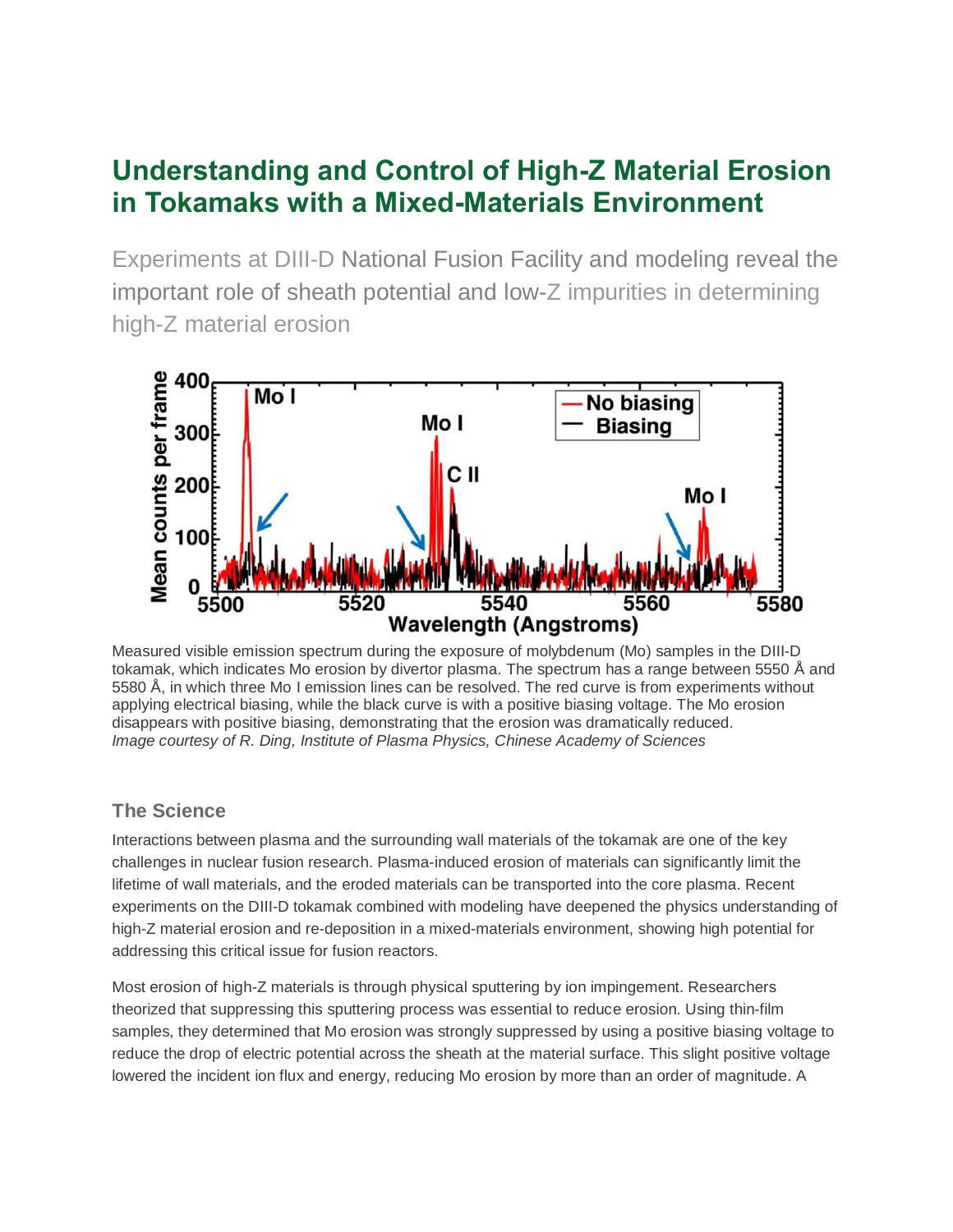# **Understanding and Control of High-Z Material Erosion in Tokamaks with a Mixed-Materials Environment**

Experiments at DIII-D National Fusion Facility and modeling reveal the important role of sheath potential and low-Z impurities in determining high-Z material erosion



Measured visible emission spectrum during the exposure of molybdenum (Mo) samples in the DIII-D tokamak, which indicates Mo erosion by divertor plasma. The spectrum has a range between 5550 Å and 5580 Å, in which three Mo I emission lines can be resolved. The red curve is from experiments without applying electrical biasing, while the black curve is with a positive biasing voltage. The Mo erosion disappears with positive biasing, demonstrating that the erosion was dramatically reduced. *Image courtesy of R. Ding, Institute of Plasma Physics, Chinese Academy of Sciences*

# **The Science**

Interactions between plasma and the surrounding wall materials of the tokamak are one of the key challenges in nuclear fusion research. Plasma-induced erosion of materials can significantly limit the lifetime of wall materials, and the eroded materials can be transported into the core plasma. Recent experiments on the DIII-D tokamak combined with modeling have deepened the physics understanding of high-Z material erosion and re-deposition in a mixed-materials environment, showing high potential for addressing this critical issue for fusion reactors.

Most erosion of high-Z materials is through physical sputtering by ion impingement. Researchers theorized that suppressing this sputtering process was essential to reduce erosion. Using thin-film samples, they determined that Mo erosion was strongly suppressed by using a positive biasing voltage to reduce the drop of electric potential across the sheath at the material surface. This slight positive voltage lowered the incident ion flux and energy, reducing Mo erosion by more than an order of magnitude. A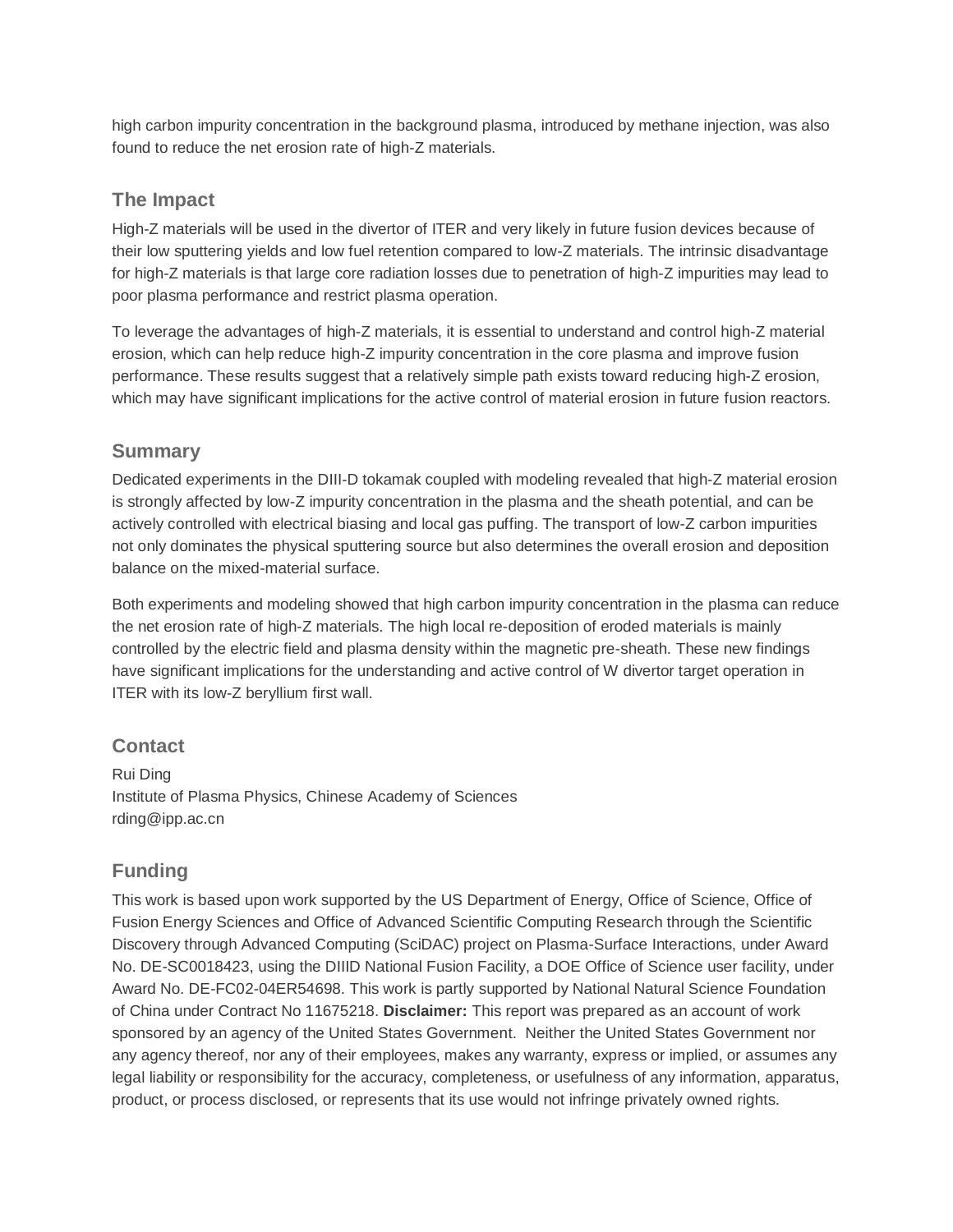high carbon impurity concentration in the background plasma, introduced by methane injection, was also found to reduce the net erosion rate of high-Z materials.

#### **The Impact**

High-Z materials will be used in the divertor of ITER and very likely in future fusion devices because of their low sputtering yields and low fuel retention compared to low-Z materials. The intrinsic disadvantage for high-Z materials is that large core radiation losses due to penetration of high-Z impurities may lead to poor plasma performance and restrict plasma operation.

To leverage the advantages of high-Z materials, it is essential to understand and control high-Z material erosion, which can help reduce high-Z impurity concentration in the core plasma and improve fusion performance. These results suggest that a relatively simple path exists toward reducing high-Z erosion, which may have significant implications for the active control of material erosion in future fusion reactors.

#### **Summary**

Dedicated experiments in the DIII-D tokamak coupled with modeling revealed that high-Z material erosion is strongly affected by low-Z impurity concentration in the plasma and the sheath potential, and can be actively controlled with electrical biasing and local gas puffing. The transport of low-Z carbon impurities not only dominates the physical sputtering source but also determines the overall erosion and deposition balance on the mixed-material surface.

Both experiments and modeling showed that high carbon impurity concentration in the plasma can reduce the net erosion rate of high-Z materials. The high local re-deposition of eroded materials is mainly controlled by the electric field and plasma density within the magnetic pre-sheath. These new findings have significant implications for the understanding and active control of W divertor target operation in ITER with its low-Z beryllium first wall.

## **Contact**

Rui Ding Institute of Plasma Physics, Chinese Academy of Sciences rding@ipp.ac.cn

# **Funding**

This work is based upon work supported by the US Department of Energy, Office of Science, Office of Fusion Energy Sciences and Office of Advanced Scientific Computing Research through the Scientific Discovery through Advanced Computing (SciDAC) project on Plasma-Surface Interactions, under Award No. DE-SC0018423, using the DIIID National Fusion Facility, a DOE Office of Science user facility, under Award No. DE-FC02-04ER54698. This work is partly supported by National Natural Science Foundation of China under Contract No 11675218. **Disclaimer:** This report was prepared as an account of work sponsored by an agency of the United States Government. Neither the United States Government nor any agency thereof, nor any of their employees, makes any warranty, express or implied, or assumes any legal liability or responsibility for the accuracy, completeness, or usefulness of any information, apparatus, product, or process disclosed, or represents that its use would not infringe privately owned rights.